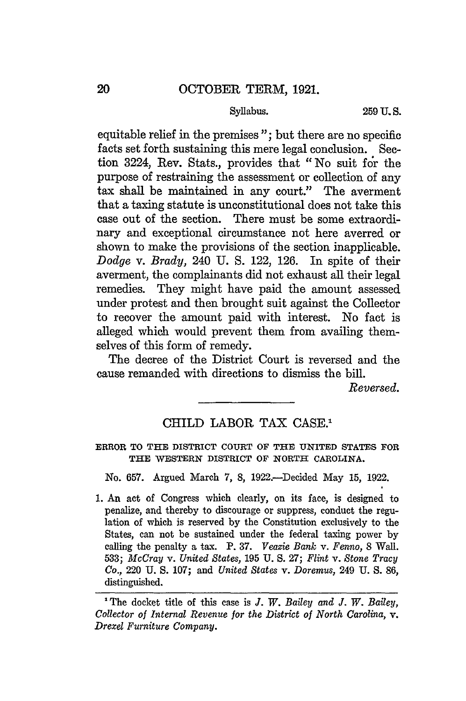$Syllabus.$  **259 U.S.** 

equitable relief in the premises **";** but there are no specific facts set forth sustaining this mere legal conclusion. Section 3224, Rev. Stats., provides that **"No** suit **for** the purpose of restraining the assessment or collection of any tax shall be maintained in any court." The averment that a taxing statute is unconstitutional does not take this case out of the section. There must be some extraordinary and exceptional circumstance not here averred or shown to make the provisions of the section inapplicable. *Dodge v. Brady,* 240 **U. S.** 122, **126.** In spite of their averment, the complainants did not exhaust all their legal remedies. They might have paid the amount assessed under protest and then brought suit against the Collector to recover the amount paid with interest. No fact is alleged which would prevent them from availing themselves of this form of remedy.

The decree of the District Court is reversed and the cause remanded with directions to dismiss the **bill.**

*Reversed.*

# CHILD LABOR TAX **CASE.1**

**ERROR TO THE DISTRICT COURT OF THE UNITED STATES FOR THE WESTERN DISTRICT OF NORTH CAROLINA.**

No. **657.** Argued March **7, 8,** 1922.-Decided May **15, 1922.**

**1.** An act of Congress which clearly, on its face, is designed to penalize, and thereby to discourage or suppress, conduct the regulation of which is reserved **by** the Constitution exclusively to the States, can not be sustained under the federal taxing power **by** calling the penalty a tax. P. **37.** *Veazie Bank* v. *Fenno,* **8** Wall. **533;** *McCray* v. *United States,* **195 U. S. 27;** *Flint* v. *Stone Tracy Co.,* 220 **U. S. 107;** and *United States v. Doremus,* 249 **U. S. 86,** distinguished.

<sup>&#</sup>x27;The docket title of this case is *J. W. Bailey and J. W. Bailey, Collector of Internal Revenue for the District of North Carolina,* v. *Drexel Furniture Company.*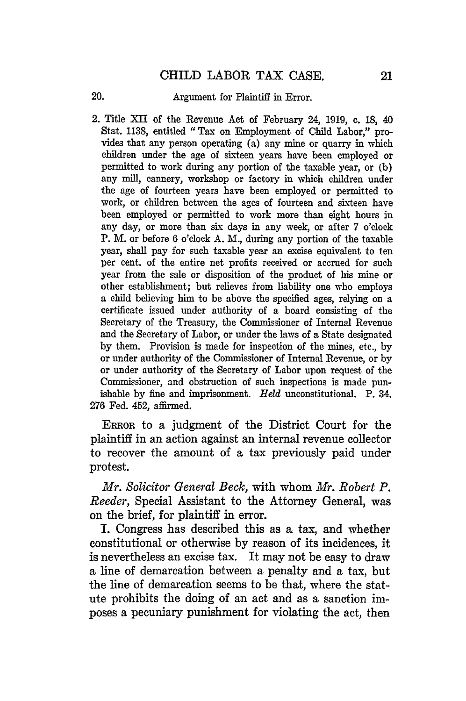### 20. Argument for Plaintiff in Error.

2. Title XII of the Revenue Act of February 24, 1919, **c.** 18, 40 Stat. 1138, entitled "Tax on Employment of Child Labor," provides that any person operating (a) any mine or quarry in which children under the age of sixteen years have been employed or permitted to work during any portion of the taxable year, or **(b)** any mill, cannery, workshop or factory in which children under the age of fourteen years have been employed or permitted to work, or children between the ages of fourteen and sixteen have been employed or permitted to work more than eight hours in any day, or more than six days in any week, or after 7 o'clock P. M. or before 6 o'clock A. M., during any portion of the taxable year, shall pay for such taxable year an excise equivalent to ten per cent. of the entire net profits received or accrued for such year from the sale or disposition of the product of his mine or other establishment; but relieves from liability one who employs a child believing him to be above the specified ages, relying on a certificate issued under authority of a board consisting of the Secretary of the Treasury, the Commissioner of Internal Revenue and the Secretary of Labor, or under the laws of a State designated by them. Provision is made for inspection of the mines, etc., by or under authority of the Commissioner of Internal Revenue, or by or under authority of the Secretary of Labor upon request of the Commissioner, and obstruction of such inspections is made punishable by fine and imprisonment. *Held* unconstitutional. P. 34. 276 Fed. 452, affirmed.

ERROR to a judgment of the District Court for the plaintiff in an action against an internal revenue collector to recover the amount of a tax previously paid under protest.

*Mr. Solicitor General Beck,* with whom *Mr. Robert P. Reeder,* Special Assistant to the Attorney General, was on the brief, for plaintiff in error.

I. Congress has described this as a tax, and whether constitutional or otherwise by reason of its incidences, it is nevertheless an excise tax. It may not be easy to draw a line of demarcation between a penalty and a tax, but the line of demarcation seems to be that, where the statute prohibits the doing of an act and as a sanction imposes a pecuniary punishment for violating the act, then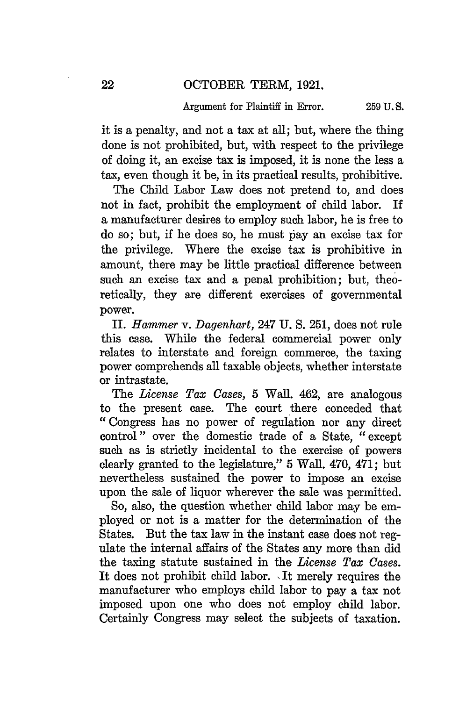# Argument for Plaintiff in Error. **259 U. S.**

it is a penalty, and not a tax at all; but, where the thing done is not prohibited, but, with respect to the privilege of doing it, an excise tax is imposed, it is none the less a tax, even though it be, in its practical results, prohibitive.

The Child Labor Law does not pretend to, and does not in fact, prohibit the employment of child labor. If a manufacturer desires to employ such labor, he is free to do so; but, if he does so, he must pay an excise tax for the privilege. Where the excise tax is prohibitive in amount, there may be little practical difference between such an excise tax and a penal prohibition; but, theoretically, they are different exercises of governmental power.

**II.** *Hammer* v. *Dagenhart,* 247 **U. S. 251,** does not rule this case. While the federal commercial power only relates to interstate and foreign commerce, the taxing power comprehends all taxable objects, whether interstate or intrastate.

The *License Tax Cases,* **5** Wall. 462, are analogous to the present case. The court there conceded that "Congress has no power of regulation nor any direct control" over the domestic trade of a State, "except such as is strictly incidental to the exercise of powers clearly granted to the legislature," **5** Wall. 470, 471; but nevertheless sustained the power to impose an excise upon the sale of liquor wherever the sale was permitted.

**So,** also, the question whether child labor may be employed or not is a matter for the determination of the States. But the tax law in the instant case does not regulate the internal affairs of the States any more than did the taxing statute sustained in the *License Tax Cases.* It does not prohibit child labor. It merely requires the manufacturer who employs child labor to pay a tax not imposed upon one who does not employ child labor. Certainly Congress may select the subjects of taxation.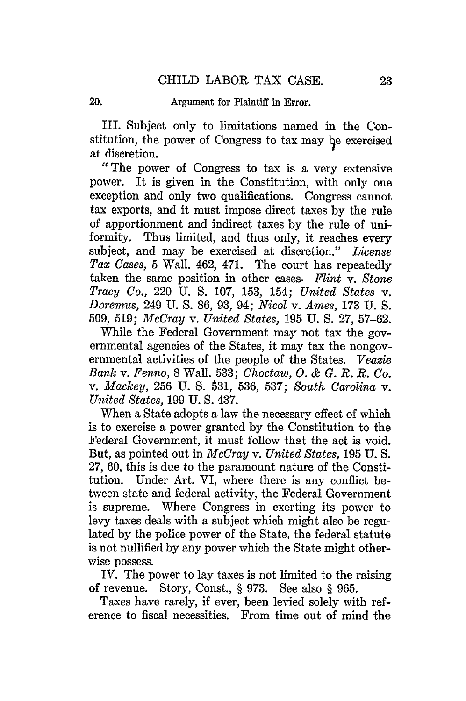III. Subject only to limitations named in the Constitution, the power of Congress to tax may be exercised at discretion.

"The power of Congress to tax is a very extensive power. It is given in the Constitution, with only one exception and only two qualifications. Congress cannot tax exports, and it must impose direct taxes **by** the rule of apportionment and indirect taxes **by** the rule of uniformity. Thus limited, and thus only, it reaches every subject, and may be exercised at discretion." *License Tax Cases,* **5** Wall. 462, 471. The court has repeatedly taken the same position in other cases. *Flint v. Stone Tracy Co.,* 220 **U. S. 107, 153,** 154; *United States v. Doremus,* 249 **U. S. 86, 93,** 94; *Nicol v. Ames,* **173 U. S.** 509, 519; *McCray v. United States,* **195 U. S.** 27, 57-62.

While the Federal Government may not tax the governmental agencies of the States, it may tax the nongovernmental activities of the people of the States. *Veazie Bank v. Fenno,* **8** Wall. 533; *Choctaw, 0. & G.* R. *R. Co. v. Mackey,* 256 U. **S.** 531, 536, 537; *South Carolina* v. *United States,* 199 U. S. 437.

When a State adopts a law the necessary effect of which is to exercise a power granted by the Constitution to the Federal Government, it must follow that the act is void. But, as pointed out in *McCray v. United States,* 195 U. S. 27, 60, this is due to the paramount nature of the Constitution. Under Art. VI, where there is any conflict between state and federal activity, the Federal Government is supreme. Where Congress in exerting its power to levy taxes deals with a subject which might also be regulated by the police power of the State, the federal statute is not nullified by any power which the State might otherwise possess.

IV. The power to lay taxes is not limited to the raising of revenue. Story, Const., § 973. See also § 965.

Taxes have rarely, if ever, been levied solely with reference to fiscal necessities. From time out of mind the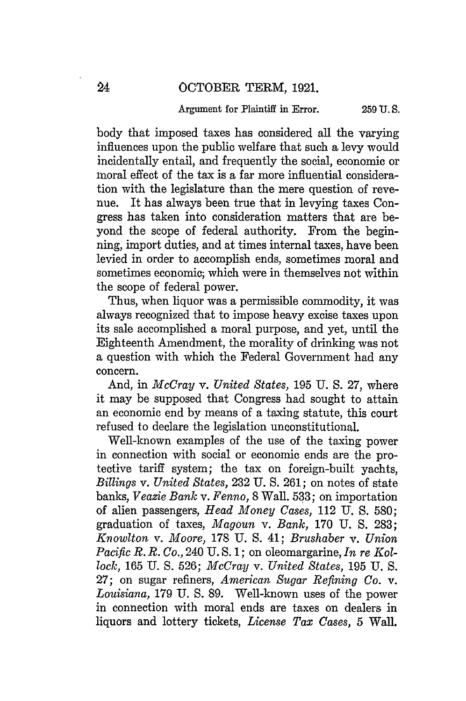# 24 OCTOBER TERM, **1921.**

#### Argument for Plaintiff in Error. **259 V. S.**

body that imposed taxes has considered all the varying influences upon the public welfare that such a levy would incidentally entail, and frequently the social, economic or moral effect of the tax is a far more influential consideration with the legislature than the mere question of revenue. It has always been true that in levying taxes Congress has taken into consideration matters that are beyond the scope of federal authority. From the beginning, import duties, and at times internal taxes, have been levied in order to accomplish ends, sometimes moral and sometimes economic; which were in themselves not within the scope of federal power.

Thus, when liquor was a permissible commodity, it was always recognized that to impose heavy excise taxes upon its sale accomplished a moral purpose, and yet, until the Eighteenth Amendment, the morality of drinking was not a question with which the Federal Government had any concern.

And, in *McCray* v. *United States,* 195 U. S. 27, where it may be supposed that Congress had sought to attain an economic end by means of a taxing statute, this court refused to declare the legislation unconstitutional.

Well-known examples of the use of the taxing power in connection with social or economic ends are the protective tariff system; the tax on foreign-built yachts, *Billings v. United States,* 232 U. S. 261; on notes of state banks, *Veazie Bank* v. *Fenno,* 8 Wall. 533; on importation of alien passengers, *Head Money Cases,* 112 U. S. 580; graduation of taxes, *Magoun* v. *Bank,* 170 U. S. 283; *Knowlton v. Moore,* 178 U. *S.* 41; *Brushaber* v. *Union Pacific R. R. Co.,* 240 U. S. 1; on oleomargarine, *In re Kollock,* 165 U. S. 526; *McCray v. United States,* 195 U. S. 27; on sugar refiners, *American Sugar Refining Co. v. Louisiana,* 179 U. S. 89. Well-known uses of the power in connection with moral ends are taxes on dealers in liquors and lottery tickets, *License Tax Cases,* 5 Wall.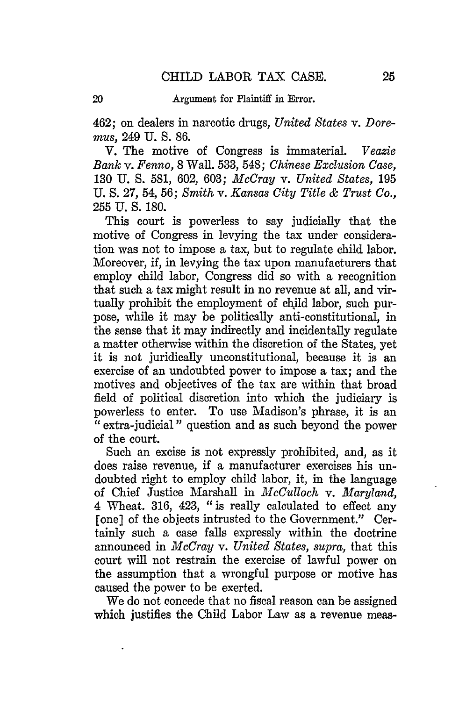462; on dealers in narcotic drugs, *United States v. Doremus,* 249 U. **S.** 86.

V. The motive of Congress is immaterial. *Veazie Bank* v. *Fenno,* 8 Wall. 533, 548; *Chinese Exclusion Case,* 130 **U.** S. 581, 602, 603; *McCray v. United States,* 195 U. S. 27, 54, 56; *Smith v. Kansas City Title & Trust Co.,* 255 U. S. 180.

This court is powerless to say judicially that the motive of Congress in levying the tax under consideration was not to impose a tax, but to regulate child labor. Moreover, if, in levying the tax upon manufacturers that employ child labor, Congress did so with a recognition that such a tax might result in no revenue at all, and virtually prohibit the employment of child labor, such purpose, while it may be politically anti-constitutional, in the sense that it may indirectly and incidentally regulate a matter otherwise within the discretion of the States, yet it is not juridically unconstitutional, because it is an exercise of an undoubted power to impose a tax; and the motives and objectives of the tax are within that broad field of political discretion into which the judiciary is powerless to enter. To use Madison's phrase, it is an "extra-judicial" question and as such beyond the power of the court.

Such an excise is not expressly prohibited, and, as it does raise revenue, if a manufacturer exercises his undoubted right to employ child labor, it, in the language of Chief Justice Marshall in *McCulloch v. Maryland,* 4 Wheat. 316, 423, "is really calculated to effect any [one] of the objects intrusted to the Government." Certainly such a case falls expressly within the doctrine announced in *McCray v. United States, supra,* that this court will not restrain the exercise of lawful power on the assumption that a wrongful purpose or motive has caused the power to be exerted.

We do not concede that no fiscal reason can be assigned which justifies the Child Labor Law as a revenue meas-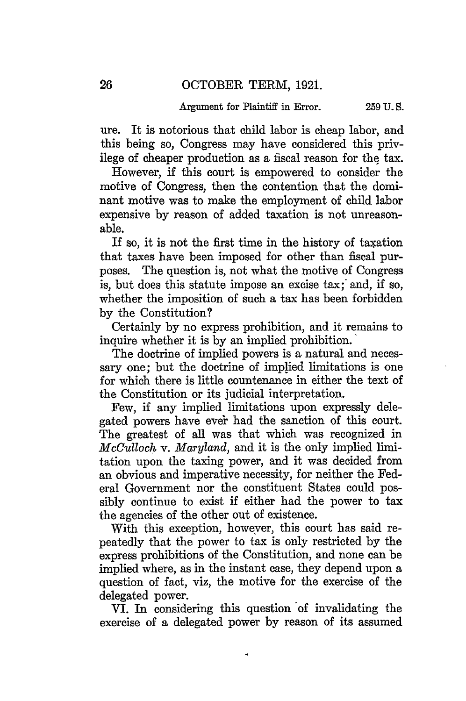### Argument for Plaintiff in Error. **259 U. S.**

ure. It is notorious that child labor is cheap labor, and this being so, Congress may have considered this privilege of cheaper production as a fiscal reason for **the** tax.

However, if this court is empowered to consider the motive of Congress, then the contention that the dominant motive was to make the employment of child labor expensive **by** reason of added taxation is not unreasonable.

If so, it is not the first time in the history of taxation that taxes have been imposed for other than fiscal purposes. The question is, not what the motive of Congress is, but does this statute impose an excise tax; and, if so, whether the imposition of such a tax has been forbidden **by** the Constitution?

Certainly **by** no express prohibition, and it remains to inquire whether it is **by** an implied prohibition.'

The doctrine of implied powers is a natural and necessary one; but the doctrine of implied limitations is one for which there is little countenance in either the text of the Constitution or its judicial interpretation.

Few, if any implied limitations upon expressly delegated powers have ever had the sanction of this court. The greatest of all was that which was recognized in *McCulloch* v. *Maryland,* and it is the only implied limitation upon the taxing power, and it was decided from an obvious and imperative necessity, for neither the Federal Government nor the constituent States could possibly continue to exist if either had the power to tax the agencies of the other out of existence.

With this exception, however, this court has said repeatedly that the power to tax is only restricted by the express prohibitions of the Constitution, and none can be implied where, as in the instant case, they depend upon a question of fact, viz, the motive for the exercise of the delegated power.

VI. In considering this question of invalidating the exercise of a delegated power by reason of its assumed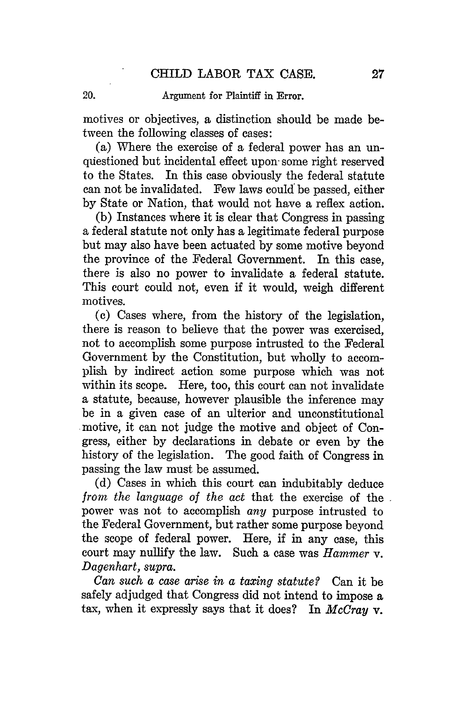# 20. Argument for Plaintiff in Error.

motives or objectives, a distinction should be made between the following classes of cases:

(a) Where the exercise of a federal power has an unquiestioned but incidental effect upon- some right reserved to the States. In this case obviously the federal statute can not be invalidated. Few laws could be passed, either **by** State or Nation, that would not have a reflex action.

**(b)** Instances where it is clear that Congress in passing a federal statute not only has a legitimate federal purpose but may also have been actuated **by** some motive beyond the province of the Federal Government. In this case, there is also no power to invalidate a federal statute. This court could not, even if it would, weigh different motives.

**(c)** Cases where, from the history of the legislation, there is reason to believe that the power was exercised, not to accomplish some purpose intrusted to the Federal Government **by** the Constitution, but wholly to accomplish **by** indirect action some purpose which was not within its scope. Here, too, this court can not invalidate a statute, because, however plausible the inference may be in a given case of an ulterior and unconstitutional motive, it can not judge the motive and object of Congress, either **by** declarations in debate or even **by** the history of the legislation. The good faith of Congress in passing the law must be assumed.

**(d)** Cases in which this court can indubitably deduce *from the language of the act* that the exercise of the power was not to accomplish *any* purpose intrusted to the Federal Government, but rather some purpose beyond the scope of federal power. Here, if in any case, this court may nullify the law. Such a case was *Hammer* v. *Dagenhart, supra.*

*Can such a case arise in a taxing statute?* Can it be safely adjudged that Congress did not intend to impose a tax, when it expressly says that it does? In *McCray v.*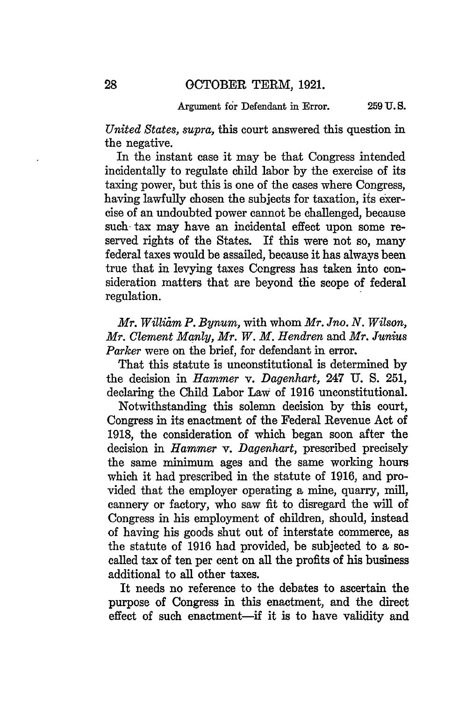#### Argument for Defendant in Error. 259 *U. S.*

*United States, supra,* this court answered this question in the negative.

In the instant case it may be that Congress intended incidentally to regulate child labor by the exercise of its taxing power, but this is one of the cases where Congress, having lawfully chosen the subjects for taxation, its exercise of an undoubted power cannot be challenged, because such tax may have an incidental effect upon some reserved rights of the States. If this were not so, many federal taxes would be assailed, because it has always been true that in levying taxes Congress has taken into consideration matters that are beyond the scope of federal regulation.

*Mr. William P. Bynum,* with whom *Mr. Jno. N. Wilson, Mr. Clement Manly, Mr. W. M. Hendren* and *Mr. Junius Parker* were on the brief, for defendant in error.

That this statute is unconstitutional is determined by the decision in *Hammer* v. *Dagenhart,* 247 U. S. 251, declaring the Child Labor Law of 1916 unconstitutional.

Notwithstanding this solemn decision by this court, Congress in its enactment of the Federal Revenue Act of 1918, the consideration of which began soon after the decision in *Hammer* v. *Dagenhart,* prescribed precisely the same minimum ages and the same working hours which it had prescribed in the statute of 1916, and provided that the employer operating a mine, quarry, mill, cannery or factory, who saw fit to disregard the will of Congress in his employment of children, should, instead of having his goods shut out of interstate commerce, as the statute of 1916 had provided, be subjected to a socalled tax of ten per cent on all the profits of his business additional to all other taxes.

It needs no reference to the debates to ascertain the purpose of Congress in this enactment, and the direct effect of such enactment-if it is to have validity and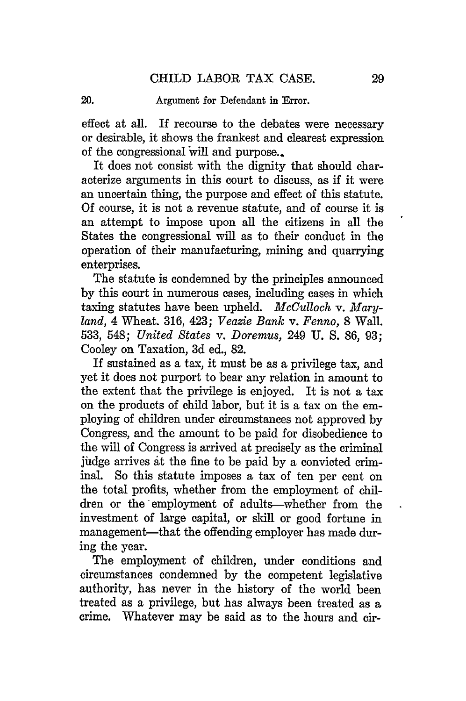## **20.** Argument for Defendant in Error.

effect at all. If recourse to the debates were necessary or desirable, it shows the frankest and clearest expression of the congressional will and purpose...

It does not consist with the dignity that should characterize arguments in this court to discuss, as if it were an uncertain thing, the purpose and effect of this statute. Of course, it is not a revenue statute, and of course it is an attempt to impose upon all the citizens in all the States the congressional will as to their conduct in the operation of their manufacturing, mining and quarrying enterprises.

The statute is condemned by the principles announced by this court in numerous cases, including cases in which taxing statutes have been upheld. *McCulloch v. Maryland,* 4 Wheat. 316, 423; *Veazie Bank* v. *Fenno,* 8 Wall. 533, 548; *United States v. Doremus,* 249 U. *S.* 86, 93; Cooley on Taxation, 3d ed., 82.

If sustained as a tax, it must be as a privilege tax, and yet it does not purport to bear any relation in amount to the extent that the privilege is enjoyed. It is not a tax on the products of child labor, but it is a tax on the employing of children under circumstances not approved by Congress, and the amount to be paid for disobedience to the will of Congress is arrived at precisely as the criminal judge arrives at the fine to be paid by a convicted criminal. So this statute imposes a tax of ten per cent on the total profits, whether from the employment of children or the employment of adults--whether from the investment of large capital, or skill or good fortune in management-that the offending employer has made during the year.

The employment of children, under conditions and circumstances condemned by the competent legislative authority, has never in the history of the world been treated as a privilege, but has always been treated as a crime. Whatever may be said as to the hours and cir-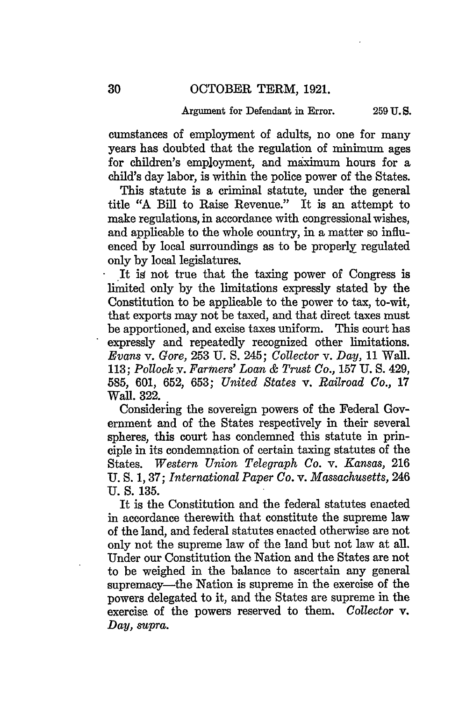#### Argument for Defendant in Error. **259 U. S.**

cumstances of employment of adults, no one for many years has doubted that the regulation of minimum ages for children's employment, and maximum hours for a child's day labor, is within the police power of the States.

This statute is **a** criminal statute, under the general title "A Bill to Raise Revenue." It is an attempt to make regulations, in accordance with congressional wishes, and applicable to the whole country, in a matter so influenced by local surroundings as to be properly regulated only by local legislatures.

It is not true that the taxing power of Congress is limited only by the limitations expressly stated by the Constitution to be applicable to the power to tax, to-wit, that exports may not be taxed, and that direct taxes must be apportioned, and excise taxes uniform. This court has expressly and repeatedly recognized other limitations. *Evans* v. *Gore,* 253 U. S. 245; *Collector* v. *Day,* 11 Wall. **113;** *Pollock* v. *Farmers' Loan & Trust Co.,* 157 U. **S.** 429, 585, 601, 652, **653;** *United States* v. *Railroad Co.,* **17** Wall. **322.**

Considering the sovereign powers of the Federal Government and of the States respectively in their several spheres, this court has condemned this statute in principle in its condemnation of certain taxing statutes of the States. *Western Union Telegraph Co. v. Kansas,* 216 **U. S.** 1, 37; *International Paper Co. v. Massachusetts,* 246 U. **S.** 135.

It is the Constitution and the federal statutes enacted in accordance therewith that constitute the supreme law of the land, and federal statutes enacted otherwise are not only not the supreme law of the land but not law at all. Under our Constitution the Nation and the States are not to be weighed in the balance to ascertain any general supremacy-the Nation is supreme in the exercise of the powers delegated to it, and the States are supreme in the exercise of the powers reserved to them. *Collector v. Day, supra.*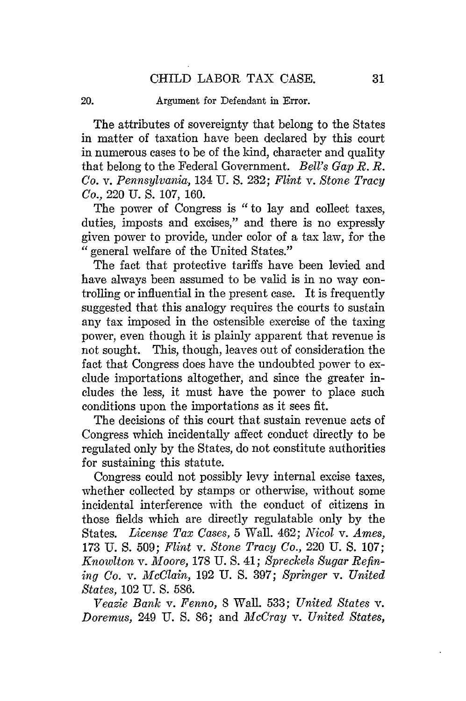#### 20. Argument for Defendant in Error.

The attributes of sovereignty that belong to the States in matter of taxation have been declared by this court in numerous cases to be of the kind, character and quality that belong to the Federal Government. *Bell's Gap R. R. Co. v. Pennsylvania,* 134 U. **S.** 232; *Flint v. Stone Tracy Co.,* 220 U. *S.* 107, 160.

The power of Congress is "to lay and collect taxes, duties, imposts and excises," and there is no expressly given power to provide, under color of a tax law, for the "general welfare of the United States."

The fact that protective tariffs have been levied and have always been assumed to be valid is in no way controlling or influential in the present case. It is frequently suggested that this analogy requires the courts to sustain any tax imposed in the ostensible exercise of the taxing power, even though it is plainly apparent that revenue is not sought. This, though, leaves out of consideration the fact that Congress does have the undoubted power to exclude importations altogether, and since the greater includes the less, it must have the power to place such conditions upon the importations as it sees fit.

The decisions of this court that sustain revenue acts of Congress which incidentally affect conduct directly to be regulated only by the States, do not constitute authorities for sustaining this statute.

Congress could not possibly levy internal excise taxes, whether collected by stamps or otherwise, without some incidental interference with the conduct of citizens in those fields which are directly regulatable only by the States. *License Tax Cases,* 5 Wall. 462; *Nicol* v. *Ames,* 173 U. S. 509; *Flint v. Stone Tracy Co.,* 220 U. S. 107; *Knowlton v. Moore,* 178 U. S. 41; *Spreckels Sugar Refining Co. v. McClain,* 192 U. **S.** 397; *Springer v. United States,* 102 U. S. 586.

*Veazie Bank v. Fenno,* 8 Wall. 533; *United States v. Doremus,* 249 U. *S.* 86; and *McCray v. United States,*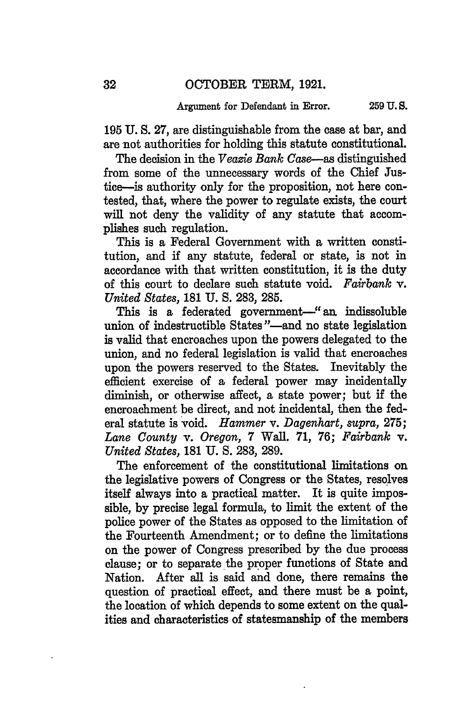#### Argument for Defendant in Error. **259 U. S.**

**195 U. S. 27,** are distinguishable from the case at bar, and are not authorities for holding this statute constitutional.

The decision in the *Veazie Bank Case-as* distinguished from some of the unnecessary words of the Chief Justice-is authority only for the proposition, not here contested, that, where the power to regulate exists, the court will not deny the validity of any statute that accomplishes such regulation.

This is a Federal Government with a written constitution, and if any statute, federal or state, is not in accordance with that written constitution, it is the duty of this court to declare such statute void. *Fairbank* v. *United States,* **181 U. S.** 283, 285.

This is a federated government-"an indissoluble union of indestructible States "--and no state legislation is valid that encroaches upon the powers delegated to the union, and no federal legislation is valid that encroaches upon the powers reserved to the States. Inevitably the efficient exercise of a federal power may incidentally diminish, or otherwise affect, a state power; but if the encroachment be direct, and not incidental, then the federal statute is void. *Hammer* v. *Dagenhart, supra,* 275; *Lane County* v. *Oregon,* 7 Wall. 71, 76; *Fairbank* v. *United States,* 181 U. **S.** 283, 289.

The enforcement of the constitutional limitations on the legislative powers of Congress or the States, resolves itself always into a practical matter. It is quite impossible, by precise legal formula, to limit the extent of the police power of the States as opposed to the limitation of the Fourteenth Amendment; or to define the limitations on the power of Congress prescribed by the due process clause; or to separate the proper functions of State and Nation. After all is said and done, there remains the question of practical effect, and there must be a point, the location of which depends to some extent on the qualities and characteristics of statesmanship of the members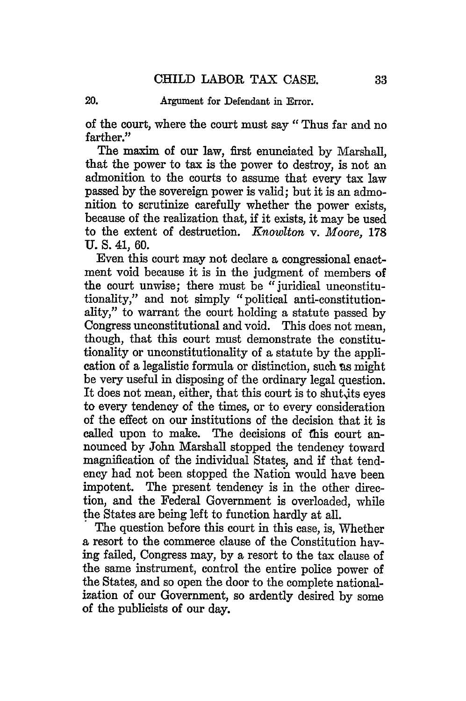## **20.** Argument for Defendant in Error.

of the court, where the court must say "Thus far and no farther."

The maxim of our law, **first** enunciated **by** Marshall, that the power to tax is the power to destroy, is not an admonition to the courts to assume that every tax law passed **by** the sovereign power is valid; but it is an admonition to scrutinize carefully whether the power exists, because of the realization that, if it exists, it may be used to the extent of destruction. *Knowlton v. Moore,* **178 U. S.** 41, **60.**

Even this court may not declare a congressional enactment void because it is in the judgment of members of the court unwise; there must be "juridical unconstitutionality," and not simply "political anti-constitutionality," to warrant the court holding a statute passed **by** Congress unconstitutional and void. This does not mean, though, that this court must demonstrate the constitutionality or unconstitutionality of a statute **by** the application of a legalistic formula or distinction, such as might be very useful in disposing of the ordinary legal question. It does not mean, either, that this court is to shut its eyes to every tendency of the times, or to every consideration of the effect on our institutions of the decision that it is called upon to make. The decisions of this court announced **by** John Marshall stopped the tendency toward magnification of the individual States, and if that tendency had not been stopped the Nation would have been impotent. The present tendency is in the other direction, and the Federal Government is overloaded, while the States are being left to function hardly at all.

The question before this court in this case, is, Whether a resort to the commerce clause of the Constitution having failed, Congress may, **by** a resort to the tax clause of the same instrument, control the entire police power of the States, and so open the door to the complete nationalization of our Government, so ardently desired **by** some of the publicists of our day.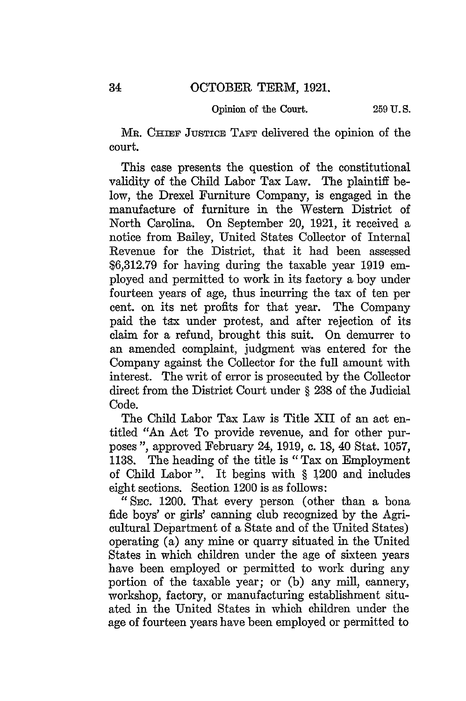MR. CHIEF JUSTICE TAFT delivered the opinion of the court.

This case presents the question of the constitutional validity of the Child Labor Tax Law. The plaintiff below, the Drexel Furniture Company, is engaged in the manufacture of furniture in the Western District of North Carolina. On September 20, 1921, it received a notice from Bailey, United States Collector of Internal Revenue for the District, that it had been assessed \$6,312.79 for having during the taxable year 1919 employed and permitted to work in its factory a boy under fourteen years of age, thus incurring the tax of ten per cent. on its net profits for that year. The Company paid the tax under protest, and after rejection of its claim for a refund, brought this suit. On demurrer to an amended complaint, judgment was entered for the Company against the Collector for the full amount with interest. The writ of error is prosecuted by the Collector direct from the District Court under § 238 of the Judicial Code.

The Child Labor Tax Law is Title XII of an act entitled "An Act To provide revenue, and for other purposes ", approved February 24, 1919, c. 18, 40 Stat. 1057, 1138. The heading of the title is "Tax on Employment of Child Labor **".** It begins with § 1200 and includes eight sections. Section 1200 is as follows:

"SEc. 1200. That every person (other than a bona fide boys' or girls' canning club recognized by the Agricultural Department of a State and of the United States) operating (a) any mine or quarry situated in the United States in which children under the age of sixteen years have been employed or permitted to work during any portion of the taxable year; or (b) any mill, cannery, workshop, factory, or manufacturing establishment situated in the United States in which children under the age of fourteen years have been employed or permitted to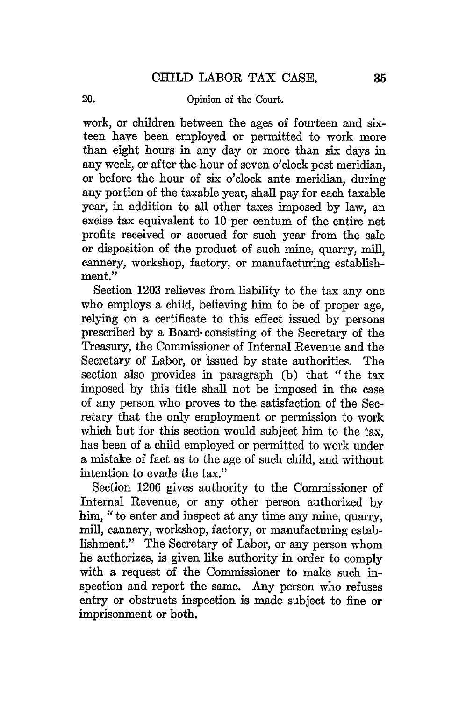# 20. Opinion of the Court.

work, or children between the ages of fourteen and sixteen have been employed or permitted to work more than eight hours in any day or more than six days in any week, or after the hour of seven o'clock post meridian, or before the hour of six o'clock ante meridian, during any portion of the taxable year, shall pay for each taxable year, in addition to all other taxes imposed by law, an excise tax equivalent to 10 per centum of the entire net profits received or accrued for such year from the sale or disposition of the product of such mine, quarry, mill, cannery, workshop, factory, or manufacturing establishment."

Section 1203 relieves from liability to the tax any one who employs a child, believing him to be of proper age. relying on a certificate to this effect issued by persons prescribed by a Board- consisting of the Secretary of the Treasury, the Commissioner of Internal Revenue and the Secretary of Labor, or issued by state authorities. The section also provides in paragraph (b) that "the tax imposed by this title shall not be imposed in the case of any person who proves to the satisfaction of the Secretary that the only employment or permission to work which but for this section would subject him to the tax, has been of a child employed or permitted to work under a mistake of fact as to the age of such child, and without intention to evade the tax."

Section 1206 gives authority to the Commissioner of Internal Revenue, or any other person authorized by him, "to enter and inspect at any time any mine, quarry, mill, cannery, workshop, factory, or manufacturing establishment." The Secretary of Labor, or any person whom he authorizes, is given like authority in order to comply with a request of the Commissioner to make such inspection and report the same. Any person who refuses entry or obstructs inspection is made subject to fine or imprisonment or both.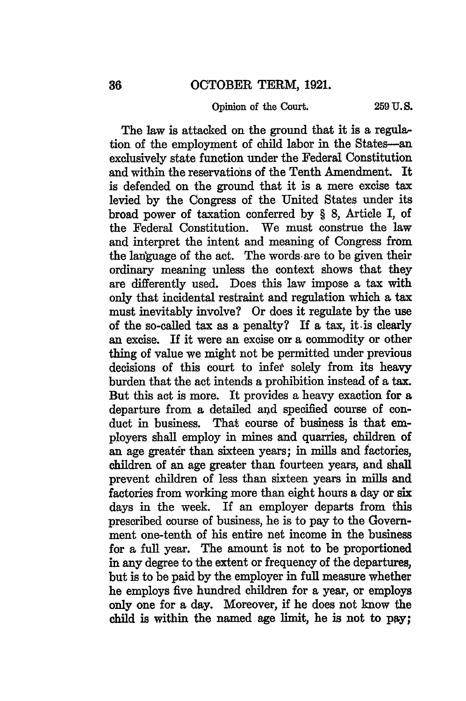## Opinion of the Court. **259 U. S.**

The law is attacked on the ground that it is a regulation of the employment of **child** labor in the States-an exclusively state function under the Federal Constitution and within the reservations of the Tenth Amendment. It is defended on the ground that it is a mere excise tax levied **by** the Congress of the United States under its broad power of taxation conferred **by** § **8,** Article I, of the Federal Constitution. We must construe the law and interpret the intent and meaning of Congress from the language of the act. The words are to be given their ordinary meaning unless the context shows that they are differently used. Does this law impose a tax with only that incidental restraint and regulation which **a** tax must inevitably involve? Or does it regulate **by** the use of the so-called tax as a penalty? If a tax, it.is clearly an excise. If it were an excise on a commodity or other thing of value we might not be permitted under previous decisions of this court to infet solely from its heavy burden that the act intends a prohibition instead of a tax. But this act is more. It provides a heavy exaction for **a** departure from a detailed and specified course of conduct in business. That course of business is that employers shall employ in mines and quarries, children of an age greater than sixteen years; in mills and factories, children of an age greater than fourteen years, and shall prevent children of less than sixteen years in **mills** and factories from working more than eight hours a day or six days in the week. If an employer departs from this prescribed course of business, he is to pay to the Government one-tenth of his entire net income in the business for a full year. The amount is not to be proportioned in any degree to the extent or frequency of the departures, but is to be paid **by** the employer in full measure whether he employs five hundred children for a year, or employs only one for a day. Moreover, if he does not know the **child** is within the named age limit, he is not to **pay;**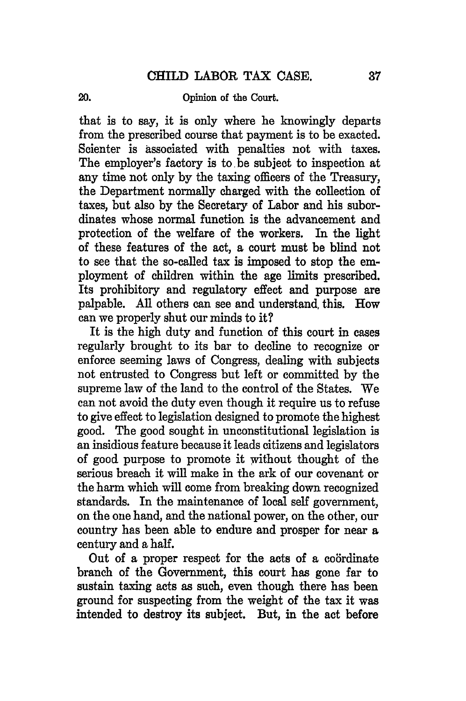## **20.** Opinion of the Court.

that is to say, it is only where he knowingly departs from the prescribed course that payment is to be exacted. Scienter is associated with penalties not with taxes. The employer's factory is to be subject to inspection at any time not only **by** the taxing officers of the Treasury, the Department normally charged with the collection of taxes, but also **by** the Secretary of Labor and his subordinates whose normal function is the advancement and protection of the welfare of the workers. In the light of these features of the act, a court must be blind not to see that the so-called tax is imposed to stop the employment of children within the age limits prescribed. Its prohibitory and regulatory effect and purpose are palpable. **All** others can see and understand, this. How can we properly shut our minds to it?

It is the high duty and function of this court in cases regularly brought to its bar to decline to recognize or enforce seeming laws of Congress, dealing with subjects not entrusted to Congress but left or committed **by** the supreme law of the land to the control of the States. We can not avoid the duty even though it require us to refuse to give effect to legislation designed to promote the highest good. The good sought in unconstitutional legislation is an insidious feature because it leads citizens and legislators of good purpose to promote it without thought of the serious breach it will make in the ark of our covenant or the harm which will come from breaking down recognized standards. In the maintenance of local self government, on the one hand, and the national power, on the other, our country has been able to endure and prosper for near a century and a half.

Out of a proper respect for the acts of a coordinate branch of the Government, this court has gone far to sustain taxing acts as such, even though there has been ground for suspecting from the weight of the tax it was intended to destroy its subject. But, in the act before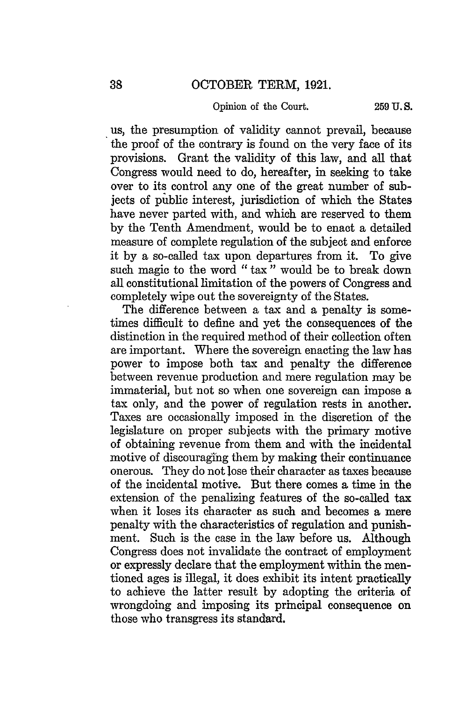#### Opinion of the Court. **259 U. S.**

us, the presumption of validity cannot prevail, because the proof of the contrary is found on the very face of its provisions. Grant the validity of this law, and all that Congress would need to do, hereafter, in seeking to take over to its control any one of the great number of subjects of public interest, jurisdiction of which the States have never parted with, and which are reserved to them **by** the Tenth Amendment, would be to enact a detailed measure of complete regulation of the subject and enforce it **by** a so-called tax upon departures from it. To give such magic to the word "tax" would be to break down all constitutional limitation of the powers of Congress and completely wipe out the sovereignty of the States.

The difference between a tax and a penalty is sometimes difficult to define and yet the consequences of the distinction in the required method of their collection often are important. Where the sovereign enacting the law has power to impose both tax and penalty the difference between revenue production and mere regulation may be immaterial, but not so when one sovereign can impose a tax only, and the power of regulation rests in another. Taxes are occasionally imposed in the discretion of the legislature on proper subjects with the primary motive of obtaining revenue from them and with the incidental motive of discouraging them **by** making their continuance onerous. They do not lose their character as taxes because of the incidental motive. But there comes a time in the extension of the penalizing features of the so-called tax when it loses its character as such and becomes a mere penalty with the characteristics of regulation and punishment. Such is the case in the law before us. Although Congress does not invalidate the contract of employment or expressly declare that the employment within the mentioned ages is illegal, it does exhibit its intent practically to achieve the latter result **by** adopting the criteria of wrongdoing and imposing its principal consequence on those who transgress its standard.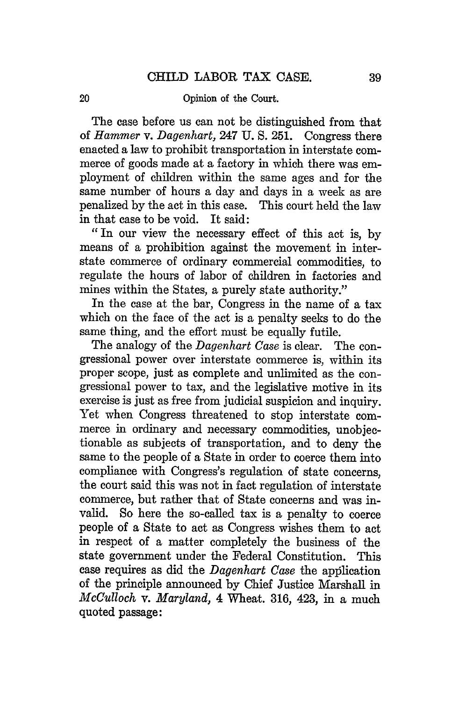## 20 Opinion of the Court.

The case before us can not be distinguished from that of *Hammer* v. *Dagenhart,* 247 U. S. 251. Congress there enacted a law to prohibit transportation in interstate commerce of goods made at a factory in which there was employment of children within the same ages and for the same number of hours a day and days in a week as are penalized by the act in this case. This court held the law in that case to be void. It said:

"In our view the necessary effect of this act is, by means of a prohibition against the movement in interstate commerce of ordinary commercial commodities, to regulate the hours of labor of children in factories and mines within the States, a purely state authority."

In the case at the bar, Congress in the name of a tax which on the face of the act is a penalty seeks to do the same thing, and the effort must be equally futile.

The analogy of the *Dagenhart Case* is clear. The congressional power over interstate commerce is, within its proper scope, just as complete and unlimited as the congressional power to tax, and the legislative motive in its exercise is just as free from judicial suspicion and inquiry. Yet when Congress threatened to stop interstate commerce in ordinary and necessary commodities, unobjectionable as subjects of transportation, and to deny the same to the people of a State in order to coerce them into compliance with Congress's regulation of state concerns, the court said this was not in fact regulation of interstate commerce, but rather that of State concerns and was invalid. So here the so-called tax is a penalty to coerce people of a State to act as Congress wishes them to act in respect of a matter completely the business of the state government under the Federal Constitution. This case requires as did the *Dagenhart Case* the application of the principle announced by Chief Justice Marshall in *McCulloch* v. *Maryland,* 4 Wheat. 316, 423, in a much quoted passage: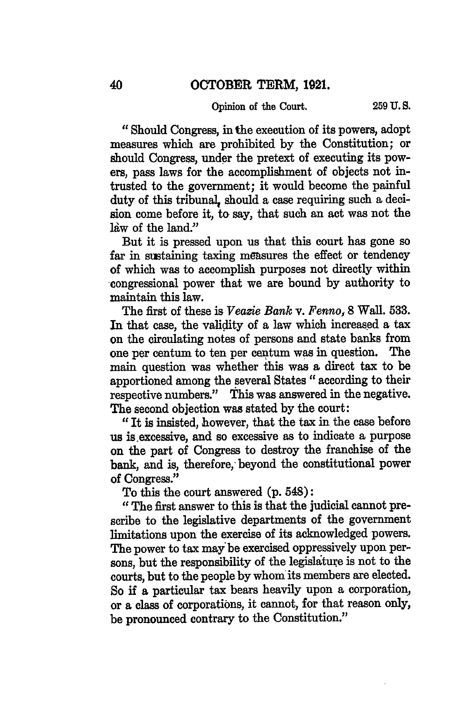## Opinion of the Court. **259 U. S.**

"Should Congress, in the execution of its powers, adopt measures which are prohibited **by** the Constitution; or should Congress, under the pretext of executing its powers, pass laws for the accomplishment of objects not intrusted to the government; it would become the painful duty of this tribunal, should a case requiring such a decision come before it, to say, that such an act was not the law of the land."

But it is pressed upon us that this court has gone so far in sustaining taxing measures the effect or tendency of which was to accomplish purposes not directly within congressional power that we are bound **by** authority to maintain this law.

The first of these is *Veazie Bank* v. *Fenno,* **8** Wall. **533.** In that case, the validity of a law which increased a tax on the circulating notes of persons and state banks from one per centum to ten per ceitum was in question. The **main** question was whether this was a direct tax to be apportioned among the several States "according to their respective numbers." This was answered in the negative. The second objection was stated by the court:

"It is insisted, however, that the tax in the case before us is.excessive, and so excessive as to indicate a purpose on the part of Congress to destroy the franchise of the bank, and is, therefore, beyond the constitutional power of Congress."

To this the court answered (p. 548):

"The first answer to this is that the judicial cannot prescribe to the legislative departments of the government limitations upon the exercise of its acknowledged powers. The power to tax may'be exercised oppressively upon persons, but the responsibility of the legislature is not to the courts, but to the people **by** whom its members are elected. So **if a** particular tax bears heavily upon a corporation, or a class of corporations, it cannot, for that reason only, be pronounced contrary to the Constitution."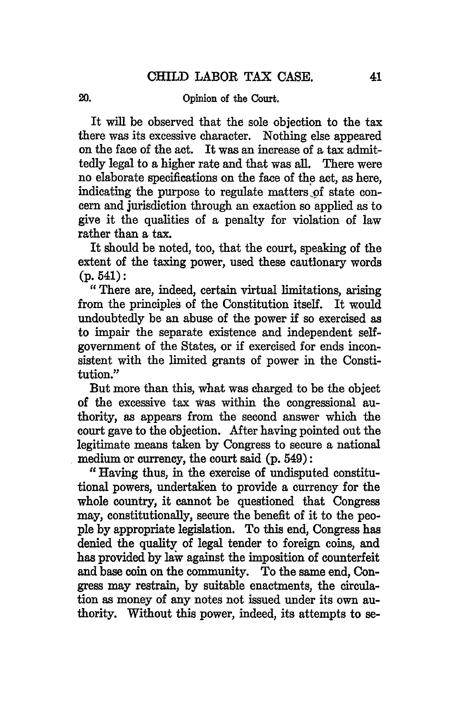# 20. Opinion of the Court.

It will be observed that the sole objection to the tax there was its excessive character. Nothing else appeared on the face of the act. It was an increase of **a** tax admittedly legal to a higher rate and that was all. There were no elaborate specifications on the face of the act, as here, indicating the purpose to regulate matters of state concern and jurisdiction through an exaction so applied as to give it the qualities of a penalty for violation of law rather than a tax.

It should be noted, too, that the court, speaking of the extent of the taxing power, used these cautionary words **(p.** 541):

"There are, indeed, certain virtual limitations, arising from the principles of the Constitution itself. It would undoubtedly be an abuse of the power if so exercised as to impair the separate existence and independent selfgovernment of the States, or if exercised for ends inconsistent with the limited grants of power in the Constitution."

But more than this, what was charged to be the object of the excessive tax was within the congressional authority, as appears from the second answer which the court gave to the objection. After having pointed out the legitimate means taken **by** Congress to secure a national medium or currency, the court said **(p.** 549):

"Having thus, in the exercise of undisputed constitutional powers, undertaken to provide a currency for the whole country, it cannot be questioned that Congress may, constitutionally, secure the benefit of it to the people **by** appropriate legislation. To this end, Congress has denied the quality of legal tender to foreign coins, and has provided by law against the imposition of counterfeit and base coin on the community. To the same end, Congress may restrain, **by** suitable enactments, the circulation as money of any notes not issued under its own authority. Without this power, indeed, its attempts to se-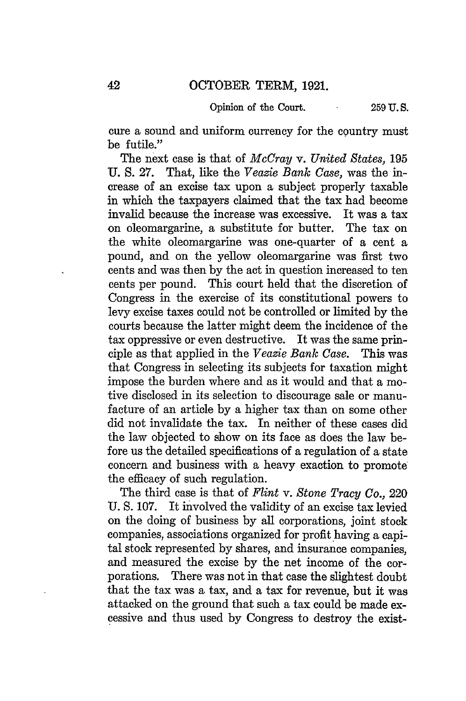#### Opinion of the Court. 259 U.S.

cure a sound and uniform currency for the country must be futile."

The next case is that of *McCray v. United States,* **195** U. S. 27. That, like the *Veazie Bank Case,* was the increase of an excise tax upon a subject properly taxable in which the taxpayers claimed that the tax had become invalid because the increase was excessive. It was a tax on oleomargarine, a substitute for butter. The tax on the white oleomargarine was one-quarter of a cent a pound, and on the yellow oleomargarine was first two cents and was then by the act in question increased to ten cents per pound. This court held that the discretion of Congress in the exercise of its constitutional powers to levy excise taxes could not be controlled or limited by the courts because the latter might deem the incidence of the tax oppressive or even destructive. It was the same principle as that applied in the *Veazie Bank Case.* This was that Congress in selecting its subjects for taxation might impose the burden where and as it would and that a motive disclosed in its selection to discourage sale or manufacture of an article by a higher tax than on some other did not invalidate the tax. In neither of these cases did the law objected to show on its face as does the law before us the detailed specifications of a regulation of a state concern and business with a heavy exaction to promote the efficacy of such regulation.

The third case is that of *Flint* v. *Stone Tracy Co.,* 220 U. S. 107. It involved the validity of an excise tax levied on the doing of business by all corporations, joint stock companies, associations organized for profit having a capital stock represented by shares, and insurance companies, and measured the excise by the net income of the corporations. There was not in that case the slightest doubt that the tax was a tax, and a tax for revenue, but it was attacked on the ground that such a tax could be made excessive and thus used by Congress to destroy the exist-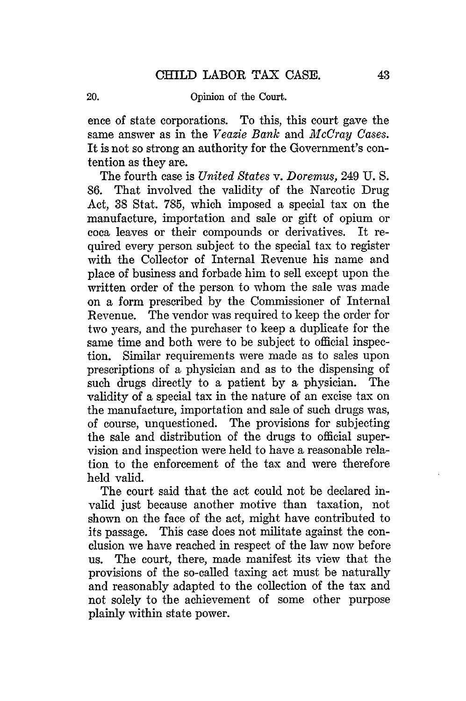#### 20. Opinion of the Court.

ence of state corporations. To this, this court gave the same answer as in the *Veazie Bank* and *MeCray Cases.* It is not so strong an authority for the Government's contention as they are.

The fourth case is *United States v. Doremus,* 249 U. S. 86. That involved the validity of the Narcotic Drug Act, 38 Stat. 785, which imposed a special tax on the manufacture, importation and sale or gift of opium or coca leaves or their compounds or derivatives. It required every person subject to the special tax to register with the Collector of Internal Revenue his name and place of business and forbade him to sell except upon the written order of the person to whom the sale was made on a form prescribed by the Commissioner of Internal Revenue. The vendor was required to keep the order for two years, and the purchaser to keep a duplicate for the same time and both were to be subject to official inspection. Similar requirements were made as to sales upon prescriptions of a physician and as to the dispensing of such drugs directly to a patient by a physician. The validity of a special tax in the nature of an excise tax on the manufacture, importation and sale of such drugs was, of course, unquestioned. The provisions for subjecting the sale and distribution of the drugs to official supervision and inspection were held to have a reasonable relation to the enforcement of the tax and were therefore held valid.

The court said that the act could not be declared invalid just because another motive than taxation, not shown on the face of the act, might have contributed to its passage. This case does not militate against the conclusion we have reached in respect of the law now before us. The court, there, made manifest its view that the provisions of the so-called taxing act must be naturally and reasonably adapted to the collection of the tax and not solely to the achievement of some other purpose plainly within state power.